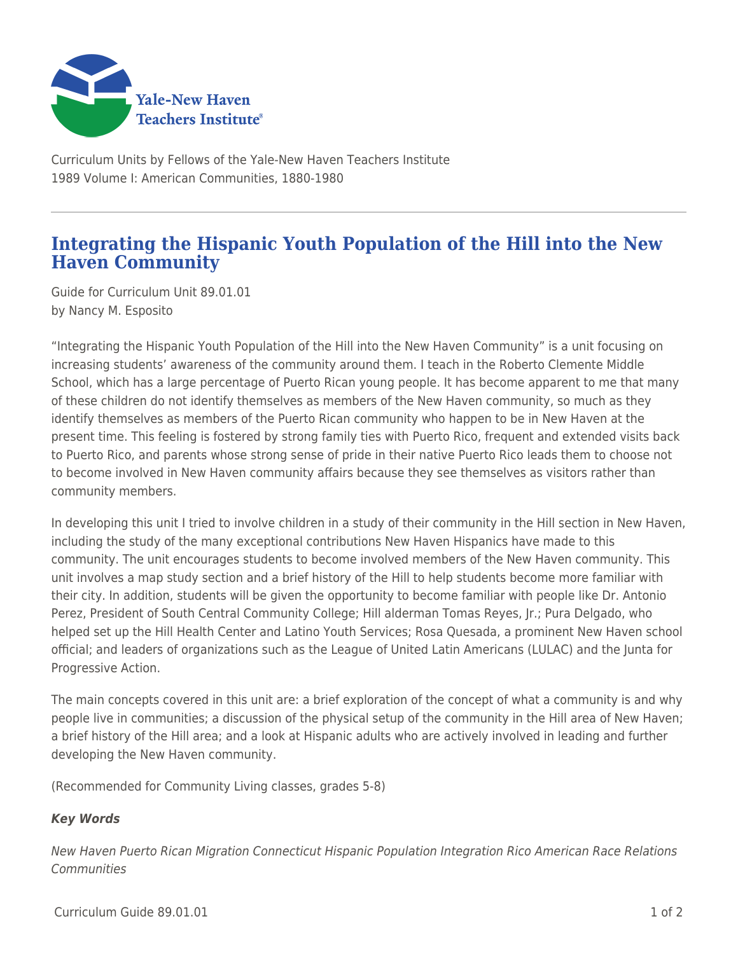

Curriculum Units by Fellows of the Yale-New Haven Teachers Institute 1989 Volume I: American Communities, 1880-1980

## **Integrating the Hispanic Youth Population of the Hill into the New Haven Community**

Guide for Curriculum Unit 89.01.01 by Nancy M. Esposito

"Integrating the Hispanic Youth Population of the Hill into the New Haven Community" is a unit focusing on increasing students' awareness of the community around them. I teach in the Roberto Clemente Middle School, which has a large percentage of Puerto Rican young people. It has become apparent to me that many of these children do not identify themselves as members of the New Haven community, so much as they identify themselves as members of the Puerto Rican community who happen to be in New Haven at the present time. This feeling is fostered by strong family ties with Puerto Rico, frequent and extended visits back to Puerto Rico, and parents whose strong sense of pride in their native Puerto Rico leads them to choose not to become involved in New Haven community affairs because they see themselves as visitors rather than community members.

In developing this unit I tried to involve children in a study of their community in the Hill section in New Haven, including the study of the many exceptional contributions New Haven Hispanics have made to this community. The unit encourages students to become involved members of the New Haven community. This unit involves a map study section and a brief history of the Hill to help students become more familiar with their city. In addition, students will be given the opportunity to become familiar with people like Dr. Antonio Perez, President of South Central Community College; Hill alderman Tomas Reyes, Jr.; Pura Delgado, who helped set up the Hill Health Center and Latino Youth Services; Rosa Quesada, a prominent New Haven school official; and leaders of organizations such as the League of United Latin Americans (LULAC) and the Junta for Progressive Action.

The main concepts covered in this unit are: a brief exploration of the concept of what a community is and why people live in communities; a discussion of the physical setup of the community in the Hill area of New Haven; a brief history of the Hill area; and a look at Hispanic adults who are actively involved in leading and further developing the New Haven community.

(Recommended for Community Living classes, grades 5-8)

## *Key Words*

New Haven Puerto Rican Migration Connecticut Hispanic Population Integration Rico American Race Relations **Communities**